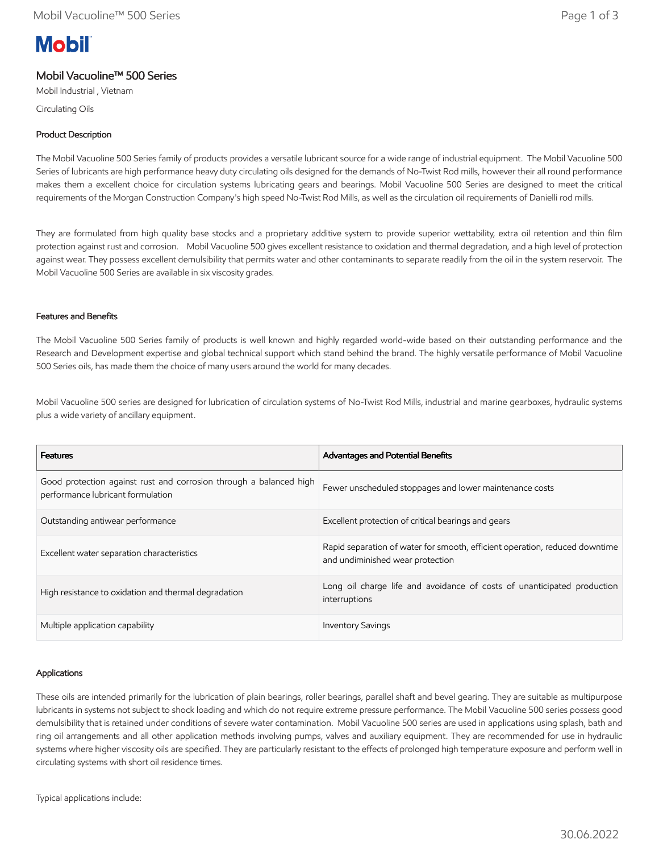# **Mobil**

# Mobil Vacuoline™ 500 Series

Mobil Industrial , Vietnam

Circulating Oils

## Product Description

The Mobil Vacuoline 500 Series family of products provides a versatile lubricant source for a wide range of industrial equipment. The Mobil Vacuoline 500 Series of lubricants are high performance heavy duty circulating oils designed for the demands of No-Twist Rod mills, however their all round performance makes them a excellent choice for circulation systems lubricating gears and bearings. Mobil Vacuoline 500 Series are designed to meet the critical requirements of the Morgan Construction Company's high speed No-Twist Rod Mills, as well as the circulation oil requirements of Danielli rod mills.

They are formulated from high quality base stocks and a proprietary additive system to provide superior wettability, extra oil retention and thin film protection against rust and corrosion. Mobil Vacuoline 500 gives excellent resistance to oxidation and thermal degradation, and a high level of protection against wear. They possess excellent demulsibility that permits water and other contaminants to separate readily from the oil in the system reservoir. The Mobil Vacuoline 500 Series are available in six viscosity grades.

### Features and Benefits

The Mobil Vacuoline 500 Series family of products is well known and highly regarded world-wide based on their outstanding performance and the Research and Development expertise and global technical support which stand behind the brand. The highly versatile performance of Mobil Vacuoline 500 Series oils, has made them the choice of many users around the world for many decades.

Mobil Vacuoline 500 series are designed for lubrication of circulation systems of No-Twist Rod Mills, industrial and marine gearboxes, hydraulic systems plus a wide variety of ancillary equipment.

| <b>Features</b>                                                                                         | <b>Advantages and Potential Benefits</b>                                                                        |
|---------------------------------------------------------------------------------------------------------|-----------------------------------------------------------------------------------------------------------------|
| Good protection against rust and corrosion through a balanced high<br>performance lubricant formulation | Fewer unscheduled stoppages and lower maintenance costs                                                         |
| Outstanding antiwear performance                                                                        | Excellent protection of critical bearings and gears                                                             |
| Excellent water separation characteristics                                                              | Rapid separation of water for smooth, efficient operation, reduced downtime<br>and undiminished wear protection |
| High resistance to oxidation and thermal degradation                                                    | Long oil charge life and avoidance of costs of unanticipated production<br>interruptions                        |
| Multiple application capability                                                                         | <b>Inventory Savings</b>                                                                                        |

### Applications

These oils are intended primarily for the lubrication of plain bearings, roller bearings, parallel shaft and bevel gearing. They are suitable as multipurpose lubricants in systems not subject to shock loading and which do not require extreme pressure performance. The Mobil Vacuoline 500 series possess good demulsibility that is retained under conditions of severe water contamination. Mobil Vacuoline 500 series are used in applications using splash, bath and ring oil arrangements and all other application methods involving pumps, valves and auxiliary equipment. They are recommended for use in hydraulic systems where higher viscosity oils are specified. They are particularly resistant to the effects of prolonged high temperature exposure and perform well in circulating systems with short oil residence times.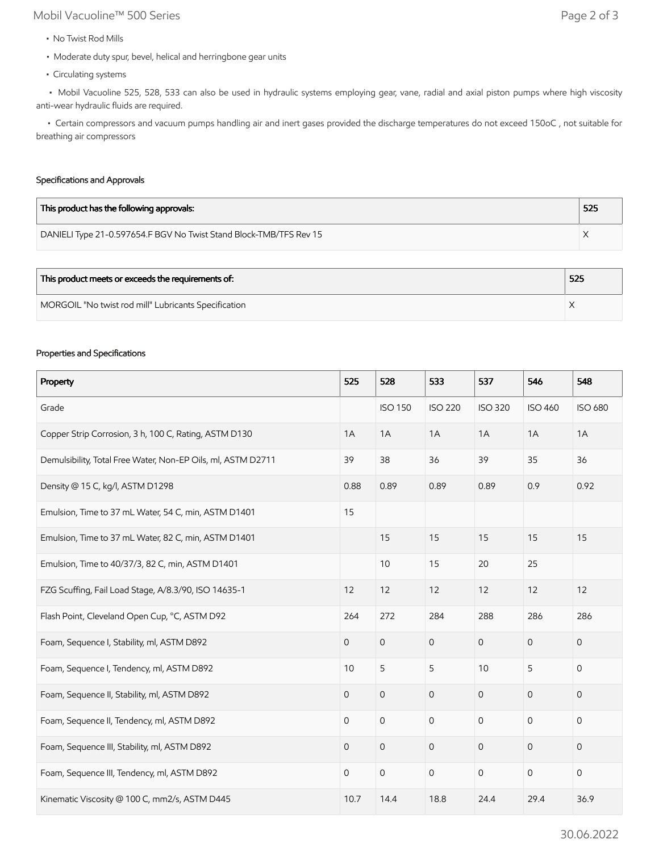# Mobil Vacuoline™ 500 Series Page 2 of 3

- No Twist Rod Mills
- Moderate duty spur, bevel, helical and herringbone gear units
- Circulating systems

 • Mobil Vacuoline 525, 528, 533 can also be used in hydraulic systems employing gear, vane, radial and axial piston pumps where high viscosity anti-wear hydraulic fluids are required.

 • Certain compressors and vacuum pumps handling air and inert gases provided the discharge temperatures do not exceed 150oC , not suitable for breathing air compressors

#### Specifications and Approvals

| This product has the following approvals:                          | 525 |
|--------------------------------------------------------------------|-----|
| DANIELI Type 21-0.597654.F BGV No Twist Stand Block-TMB/TFS Rev 15 |     |

| This product meets or exceeds the requirements of:   | 525 |
|------------------------------------------------------|-----|
| MORGOIL "No twist rod mill" Lubricants Specification |     |

#### Properties and Specifications

| Property                                                     | 525            | 528                 | 533                 | 537            | 546            | 548            |
|--------------------------------------------------------------|----------------|---------------------|---------------------|----------------|----------------|----------------|
| Grade                                                        |                | <b>ISO 150</b>      | <b>ISO 220</b>      | <b>ISO 320</b> | <b>ISO 460</b> | <b>ISO 680</b> |
| Copper Strip Corrosion, 3 h, 100 C, Rating, ASTM D130        | 1A             | 1A                  | 1A                  | 1A             | 1A             | 1A             |
| Demulsibility, Total Free Water, Non-EP Oils, ml, ASTM D2711 | 39             | 38                  | 36                  | 39             | 35             | 36             |
| Density @ 15 C, kg/l, ASTM D1298                             | 0.88           | 0.89                | 0.89                | 0.89           | 0.9            | 0.92           |
| Emulsion, Time to 37 mL Water, 54 C, min, ASTM D1401         | 15             |                     |                     |                |                |                |
| Emulsion, Time to 37 mL Water, 82 C, min, ASTM D1401         |                | 15                  | 15                  | 15             | 15             | 15             |
| Emulsion, Time to 40/37/3, 82 C, min, ASTM D1401             |                | 10                  | 15                  | 20             | 25             |                |
| FZG Scuffing, Fail Load Stage, A/8.3/90, ISO 14635-1         | 12             | 12                  | 12                  | 12             | 12             | 12             |
| Flash Point, Cleveland Open Cup, °C, ASTM D92                | 264            | 272                 | 284                 | 288            | 286            | 286            |
| Foam, Sequence I, Stability, ml, ASTM D892                   | $\overline{0}$ | $\mathsf{O}\xspace$ | $\mathsf O$         | $\mathbf 0$    | $\mathbf{0}$   | 0              |
| Foam, Sequence I, Tendency, ml, ASTM D892                    | 10             | 5                   | 5                   | 10             | 5              | $\mathsf{O}$   |
| Foam, Sequence II, Stability, ml, ASTM D892                  | $\overline{0}$ | $\mathsf{O}\xspace$ | $\mathsf O$         | $\overline{0}$ | $\mathbf{O}$   | 0              |
| Foam, Sequence II, Tendency, ml, ASTM D892                   | 0              | $\mathbf 0$         | $\mathbf 0$         | $\mathbf 0$    | $\mathbf{0}$   | 0              |
| Foam, Sequence III, Stability, ml, ASTM D892                 | 0              | $\mathsf{O}\xspace$ | $\mathsf{O}$        | $\mathbf{O}$   | $\mathbf 0$    | 0              |
| Foam, Sequence III, Tendency, ml, ASTM D892                  | $\mathbf 0$    | $\mathsf{O}\xspace$ | $\mathsf{O}\xspace$ | $\mathbf 0$    | $\mathsf{O}$   | $\mathsf{O}$   |
| Kinematic Viscosity @ 100 C, mm2/s, ASTM D445                | 10.7           | 14.4                | 18.8                | 24.4           | 29.4           | 36.9           |